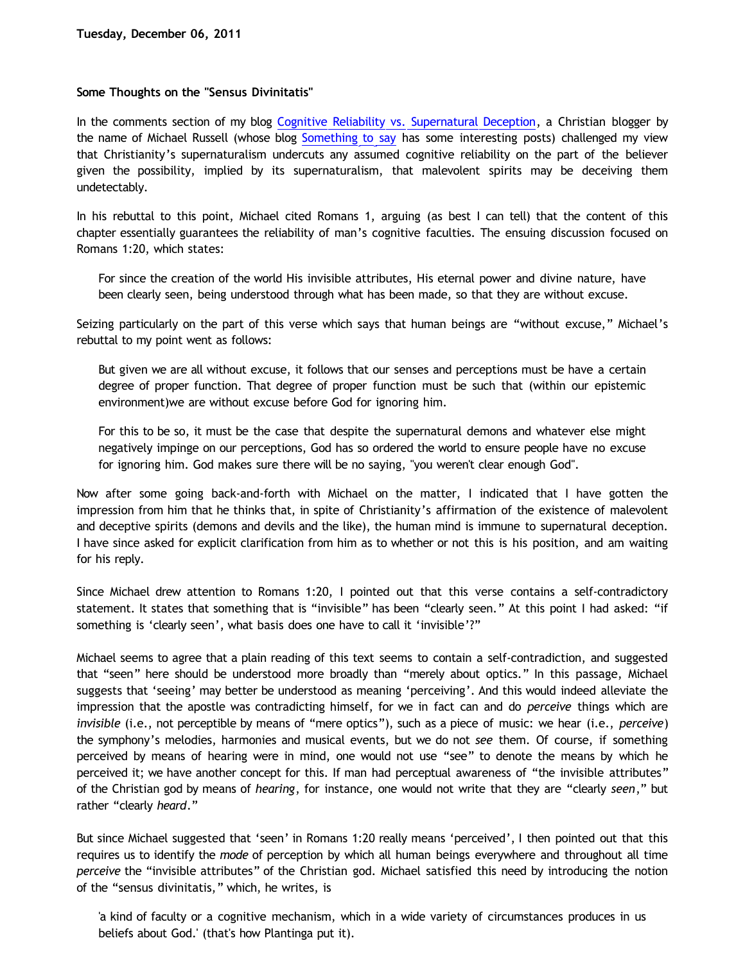## **Some Thoughts on the "Sensus Divinitatis"**

In the comments section of my blog [Cognitive Reliability vs. Supernatural Deception](http://bahnsenburner.blogspot.com/2011/11/cognitive-reliability-vs-supernatural.html), a Christian blogger by the name of Michael Russell (whose blog [Something to say](http://richaelmussell.blogspot.com/) has some interesting posts) challenged my view that Christianity's supernaturalism undercuts any assumed cognitive reliability on the part of the believer given the possibility, implied by its supernaturalism, that malevolent spirits may be deceiving them undetectably.

In his rebuttal to this point, Michael cited Romans 1, arguing (as best I can tell) that the content of this chapter essentially guarantees the reliability of man's cognitive faculties. The ensuing discussion focused on Romans 1:20, which states:

For since the creation of the world His invisible attributes, His eternal power and divine nature, have been clearly seen, being understood through what has been made, so that they are without excuse.

Seizing particularly on the part of this verse which says that human beings are "without excuse," Michael's rebuttal to my point went as follows:

But given we are all without excuse, it follows that our senses and perceptions must be have a certain degree of proper function. That degree of proper function must be such that (within our epistemic environment)we are without excuse before God for ignoring him.

For this to be so, it must be the case that despite the supernatural demons and whatever else might negatively impinge on our perceptions, God has so ordered the world to ensure people have no excuse for ignoring him. God makes sure there will be no saying, "you weren't clear enough God".

Now after some going back-and-forth with Michael on the matter, I indicated that I have gotten the impression from him that he thinks that, in spite of Christianity's affirmation of the existence of malevolent and deceptive spirits (demons and devils and the like), the human mind is immune to supernatural deception. I have since asked for explicit clarification from him as to whether or not this is his position, and am waiting for his reply.

Since Michael drew attention to Romans 1:20, I pointed out that this verse contains a self-contradictory statement. It states that something that is "invisible" has been "clearly seen." At this point I had asked: "if something is 'clearly seen', what basis does one have to call it 'invisible'?"

Michael seems to agree that a plain reading of this text seems to contain a self-contradiction, and suggested that "seen" here should be understood more broadly than "merely about optics." In this passage, Michael suggests that 'seeing' may better be understood as meaning 'perceiving'. And this would indeed alleviate the impression that the apostle was contradicting himself, for we in fact can and do *perceive* things which are *invisible* (i.e., not perceptible by means of "mere optics"), such as a piece of music: we hear (i.e., *perceive*) the symphony's melodies, harmonies and musical events, but we do not *see* them. Of course, if something perceived by means of hearing were in mind, one would not use "see" to denote the means by which he perceived it; we have another concept for this. If man had perceptual awareness of "the invisible attributes" of the Christian god by means of *hearing*, for instance, one would not write that they are "clearly *seen*," but rather "clearly *heard*."

But since Michael suggested that 'seen' in Romans 1:20 really means 'perceived', I then pointed out that this requires us to identify the *mode* of perception by which all human beings everywhere and throughout all time *perceive* the "invisible attributes" of the Christian god. Michael satisfied this need by introducing the notion of the "sensus divinitatis," which, he writes, is

'a kind of faculty or a cognitive mechanism, which in a wide variety of circumstances produces in us beliefs about God.' (that's how Plantinga put it).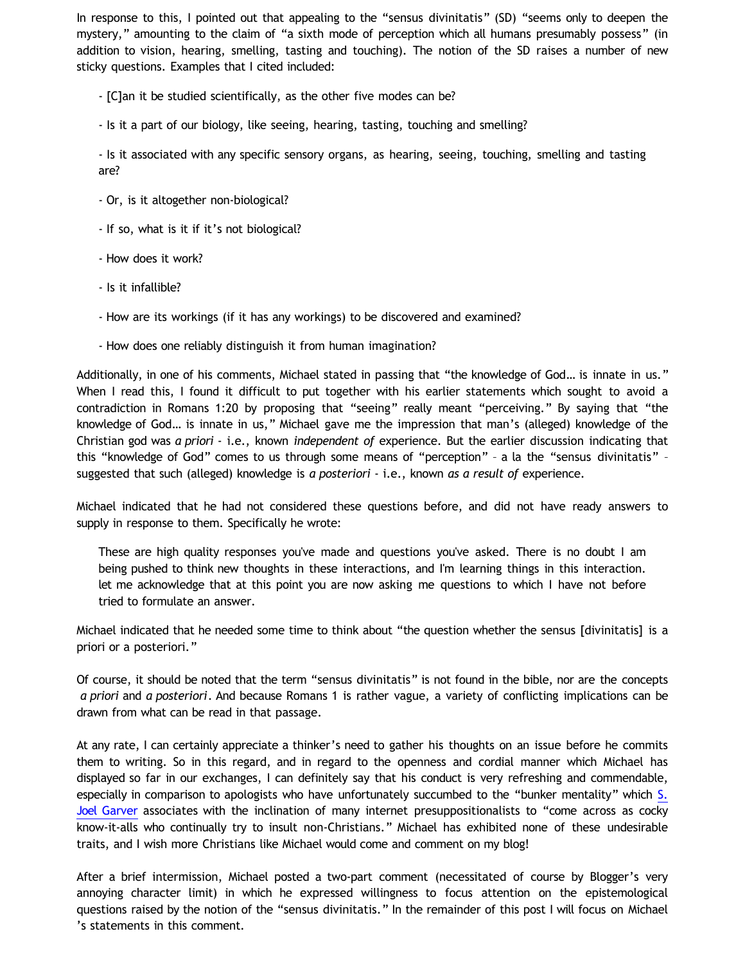In response to this, I pointed out that appealing to the "sensus divinitatis" (SD) "seems only to deepen the mystery," amounting to the claim of "a sixth mode of perception which all humans presumably possess" (in addition to vision, hearing, smelling, tasting and touching). The notion of the SD raises a number of new sticky questions. Examples that I cited included:

- [C]an it be studied scientifically, as the other five modes can be?

- Is it a part of our biology, like seeing, hearing, tasting, touching and smelling?

- Is it associated with any specific sensory organs, as hearing, seeing, touching, smelling and tasting are?

- Or, is it altogether non-biological?
- If so, what is it if it's not biological?
- How does it work?
- Is it infallible?
- How are its workings (if it has any workings) to be discovered and examined?
- How does one reliably distinguish it from human imagination?

Additionally, in one of his comments, Michael stated in passing that "the knowledge of God… is innate in us." When I read this, I found it difficult to put together with his earlier statements which sought to avoid a contradiction in Romans 1:20 by proposing that "seeing" really meant "perceiving." By saying that "the knowledge of God… is innate in us," Michael gave me the impression that man's (alleged) knowledge of the Christian god was *a priori* - i.e., known *independent of* experience. But the earlier discussion indicating that this "knowledge of God" comes to us through some means of "perception" – a la the "sensus divinitatis" – suggested that such (alleged) knowledge is *a posteriori* - i.e., known *as a result of* experience.

Michael indicated that he had not considered these questions before, and did not have ready answers to supply in response to them. Specifically he wrote:

These are high quality responses you've made and questions you've asked. There is no doubt I am being pushed to think new thoughts in these interactions, and I'm learning things in this interaction. let me acknowledge that at this point you are now asking me questions to which I have not before tried to formulate an answer.

Michael indicated that he needed some time to think about "the question whether the sensus [divinitatis] is a priori or a posteriori."

Of course, it should be noted that the term "sensus divinitatis" is not found in the bible, nor are the concepts *a priori* and *a posteriori*. And because Romans 1 is rather vague, a variety of conflicting implications can be drawn from what can be read in that passage.

At any rate, I can certainly appreciate a thinker's need to gather his thoughts on an issue before he commits them to writing. So in this regard, and in regard to the openness and cordial manner which Michael has displayed so far in our exchanges, I can definitely say that his conduct is very refreshing and commendable, especially in comparison to apologists who have unfortunately succumbed to the "bunker mentality" which [S.](http://www.joelgarver.com/writ/phil/presupposition.htm) [Joel Garver](http://www.joelgarver.com/writ/phil/presupposition.htm) associates with the inclination of many internet presuppositionalists to "come across as cocky know-it-alls who continually try to insult non-Christians." Michael has exhibited none of these undesirable traits, and I wish more Christians like Michael would come and comment on my blog!

After a brief intermission, Michael posted a two-part comment (necessitated of course by Blogger's very annoying character limit) in which he expressed willingness to focus attention on the epistemological questions raised by the notion of the "sensus divinitatis." In the remainder of this post I will focus on Michael 's statements in this comment.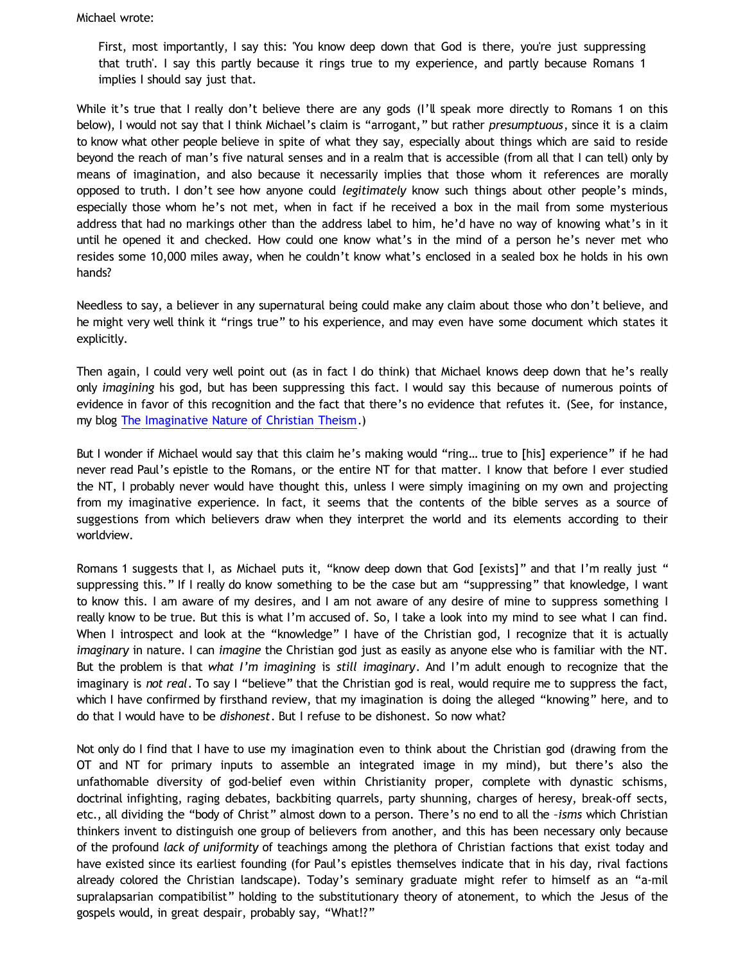Michael wrote:

First, most importantly, I say this: 'You know deep down that God is there, you're just suppressing that truth'. I say this partly because it rings true to my experience, and partly because Romans 1 implies I should say just that.

While it's true that I really don't believe there are any gods (I'll speak more directly to Romans 1 on this below), I would not say that I think Michael's claim is "arrogant," but rather *presumptuous*, since it is a claim to know what other people believe in spite of what they say, especially about things which are said to reside beyond the reach of man's five natural senses and in a realm that is accessible (from all that I can tell) only by means of imagination, and also because it necessarily implies that those whom it references are morally opposed to truth. I don't see how anyone could *legitimately* know such things about other people's minds, especially those whom he's not met, when in fact if he received a box in the mail from some mysterious address that had no markings other than the address label to him, he'd have no way of knowing what's in it until he opened it and checked. How could one know what's in the mind of a person he's never met who resides some 10,000 miles away, when he couldn't know what's enclosed in a sealed box he holds in his own hands?

Needless to say, a believer in any supernatural being could make any claim about those who don't believe, and he might very well think it "rings true" to his experience, and may even have some document which states it explicitly.

Then again, I could very well point out (as in fact I do think) that Michael knows deep down that he's really only *imagining* his god, but has been suppressing this fact. I would say this because of numerous points of evidence in favor of this recognition and the fact that there's no evidence that refutes it. (See, for instance, my blog [The Imaginative Nature of Christian Theism](http://bahnsenburner.blogspot.com/2010/05/imaginative-nature-of-christian-theism.html).)

But I wonder if Michael would say that this claim he's making would "ring… true to [his] experience" if he had never read Paul's epistle to the Romans, or the entire NT for that matter. I know that before I ever studied the NT, I probably never would have thought this, unless I were simply imagining on my own and projecting from my imaginative experience. In fact, it seems that the contents of the bible serves as a source of suggestions from which believers draw when they interpret the world and its elements according to their worldview.

Romans 1 suggests that I, as Michael puts it, "know deep down that God [exists]" and that I'm really just " suppressing this." If I really do know something to be the case but am "suppressing" that knowledge, I want to know this. I am aware of my desires, and I am not aware of any desire of mine to suppress something I really know to be true. But this is what I'm accused of. So, I take a look into my mind to see what I can find. When I introspect and look at the "knowledge" I have of the Christian god, I recognize that it is actually *imaginary* in nature. I can *imagine* the Christian god just as easily as anyone else who is familiar with the NT. But the problem is that *what I'm imagining* is *still imaginary*. And I'm adult enough to recognize that the imaginary is *not real*. To say I "believe" that the Christian god is real, would require me to suppress the fact, which I have confirmed by firsthand review, that my imagination is doing the alleged "knowing" here, and to do that I would have to be *dishonest*. But I refuse to be dishonest. So now what?

Not only do I find that I have to use my imagination even to think about the Christian god (drawing from the OT and NT for primary inputs to assemble an integrated image in my mind), but there's also the unfathomable diversity of god-belief even within Christianity proper, complete with dynastic schisms, doctrinal infighting, raging debates, backbiting quarrels, party shunning, charges of heresy, break-off sects, etc., all dividing the "body of Christ" almost down to a person. There's no end to all the *–isms* which Christian thinkers invent to distinguish one group of believers from another, and this has been necessary only because of the profound *lack of uniformity* of teachings among the plethora of Christian factions that exist today and have existed since its earliest founding (for Paul's epistles themselves indicate that in his day, rival factions already colored the Christian landscape). Today's seminary graduate might refer to himself as an "a-mil supralapsarian compatibilist" holding to the substitutionary theory of atonement, to which the Jesus of the gospels would, in great despair, probably say, "What!?"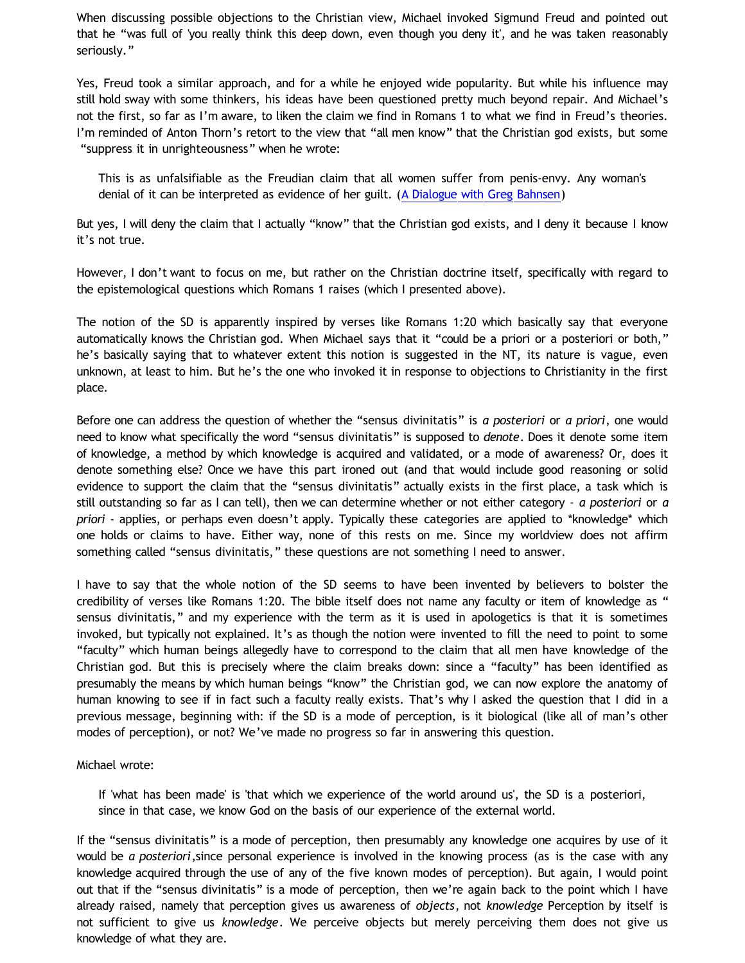When discussing possible objections to the Christian view, Michael invoked Sigmund Freud and pointed out that he "was full of 'you really think this deep down, even though you deny it', and he was taken reasonably seriously."

Yes, Freud took a similar approach, and for a while he enjoyed wide popularity. But while his influence may still hold sway with some thinkers, his ideas have been questioned pretty much beyond repair. And Michael's not the first, so far as I'm aware, to liken the claim we find in Romans 1 to what we find in Freud's theories. I'm reminded of Anton Thorn's retort to the view that "all men know" that the Christian god exists, but some "suppress it in unrighteousness" when he wrote:

This is as unfalsifiable as the Freudian claim that all women suffer from penis-envy. Any woman's denial of it can be interpreted as evidence of her guilt. ([A Dialogue with Greg Bahnsen](http://www.reocities.com/Athens/Sparta/1019/bahnsen_dialogue.htm))

But yes, I will deny the claim that I actually "know" that the Christian god exists, and I deny it because I know it's not true.

However, I don't want to focus on me, but rather on the Christian doctrine itself, specifically with regard to the epistemological questions which Romans 1 raises (which I presented above).

The notion of the SD is apparently inspired by verses like Romans 1:20 which basically say that everyone automatically knows the Christian god. When Michael says that it "could be a priori or a posteriori or both," he's basically saying that to whatever extent this notion is suggested in the NT, its nature is vague, even unknown, at least to him. But he's the one who invoked it in response to objections to Christianity in the first place.

Before one can address the question of whether the "sensus divinitatis" is *a posteriori* or *a priori*, one would need to know what specifically the word "sensus divinitatis" is supposed to *denote*. Does it denote some item of knowledge, a method by which knowledge is acquired and validated, or a mode of awareness? Or, does it denote something else? Once we have this part ironed out (and that would include good reasoning or solid evidence to support the claim that the "sensus divinitatis" actually exists in the first place, a task which is still outstanding so far as I can tell), then we can determine whether or not either category - *a posteriori* or *a priori* - applies, or perhaps even doesn't apply. Typically these categories are applied to \*knowledge\* which one holds or claims to have. Either way, none of this rests on me. Since my worldview does not affirm something called "sensus divinitatis," these questions are not something I need to answer.

I have to say that the whole notion of the SD seems to have been invented by believers to bolster the credibility of verses like Romans 1:20. The bible itself does not name any faculty or item of knowledge as " sensus divinitatis," and my experience with the term as it is used in apologetics is that it is sometimes invoked, but typically not explained. It's as though the notion were invented to fill the need to point to some "faculty" which human beings allegedly have to correspond to the claim that all men have knowledge of the Christian god. But this is precisely where the claim breaks down: since a "faculty" has been identified as presumably the means by which human beings "know" the Christian god, we can now explore the anatomy of human knowing to see if in fact such a faculty really exists. That's why I asked the question that I did in a previous message, beginning with: if the SD is a mode of perception, is it biological (like all of man's other modes of perception), or not? We've made no progress so far in answering this question.

## Michael wrote:

If 'what has been made' is 'that which we experience of the world around us', the SD is a posteriori, since in that case, we know God on the basis of our experience of the external world.

If the "sensus divinitatis" is a mode of perception, then presumably any knowledge one acquires by use of it would be *a posteriori*,since personal experience is involved in the knowing process (as is the case with any knowledge acquired through the use of any of the five known modes of perception). But again, I would point out that if the "sensus divinitatis" is a mode of perception, then we're again back to the point which I have already raised, namely that perception gives us awareness of *objects*, not *knowledge* Perception by itself is not sufficient to give us *knowledge*. We perceive objects but merely perceiving them does not give us knowledge of what they are.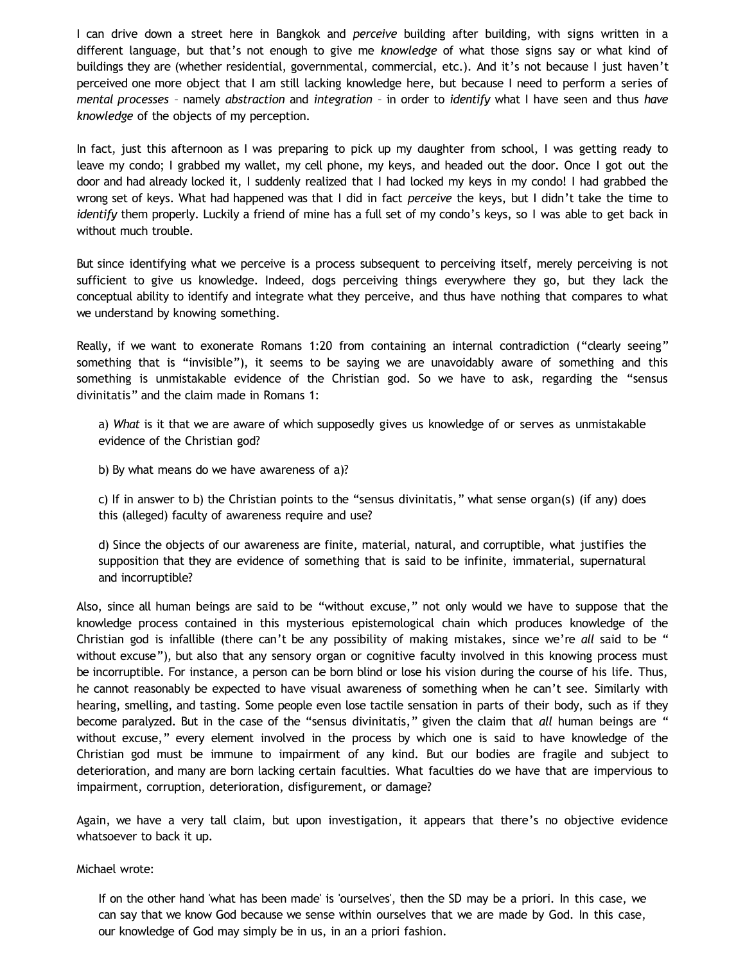I can drive down a street here in Bangkok and *perceive* building after building, with signs written in a different language, but that's not enough to give me *knowledge* of what those signs say or what kind of buildings they are (whether residential, governmental, commercial, etc.). And it's not because I just haven't perceived one more object that I am still lacking knowledge here, but because I need to perform a series of *mental processes* – namely *abstraction* and *integration* – in order to *identify* what I have seen and thus *have knowledge* of the objects of my perception.

In fact, just this afternoon as I was preparing to pick up my daughter from school, I was getting ready to leave my condo; I grabbed my wallet, my cell phone, my keys, and headed out the door. Once I got out the door and had already locked it, I suddenly realized that I had locked my keys in my condo! I had grabbed the wrong set of keys. What had happened was that I did in fact *perceive* the keys, but I didn't take the time to *identify* them properly. Luckily a friend of mine has a full set of my condo's keys, so I was able to get back in without much trouble.

But since identifying what we perceive is a process subsequent to perceiving itself, merely perceiving is not sufficient to give us knowledge. Indeed, dogs perceiving things everywhere they go, but they lack the conceptual ability to identify and integrate what they perceive, and thus have nothing that compares to what we understand by knowing something.

Really, if we want to exonerate Romans 1:20 from containing an internal contradiction ("clearly seeing" something that is "invisible"), it seems to be saying we are unavoidably aware of something and this something is unmistakable evidence of the Christian god. So we have to ask, regarding the "sensus divinitatis" and the claim made in Romans 1:

a) *What* is it that we are aware of which supposedly gives us knowledge of or serves as unmistakable evidence of the Christian god?

b) By what means do we have awareness of a)?

c) If in answer to b) the Christian points to the "sensus divinitatis," what sense organ(s) (if any) does this (alleged) faculty of awareness require and use?

d) Since the objects of our awareness are finite, material, natural, and corruptible, what justifies the supposition that they are evidence of something that is said to be infinite, immaterial, supernatural and incorruptible?

Also, since all human beings are said to be "without excuse," not only would we have to suppose that the knowledge process contained in this mysterious epistemological chain which produces knowledge of the Christian god is infallible (there can't be any possibility of making mistakes, since we're *all* said to be " without excuse"), but also that any sensory organ or cognitive faculty involved in this knowing process must be incorruptible. For instance, a person can be born blind or lose his vision during the course of his life. Thus, he cannot reasonably be expected to have visual awareness of something when he can't see. Similarly with hearing, smelling, and tasting. Some people even lose tactile sensation in parts of their body, such as if they become paralyzed. But in the case of the "sensus divinitatis," given the claim that *all* human beings are " without excuse," every element involved in the process by which one is said to have knowledge of the Christian god must be immune to impairment of any kind. But our bodies are fragile and subject to deterioration, and many are born lacking certain faculties. What faculties do we have that are impervious to impairment, corruption, deterioration, disfigurement, or damage?

Again, we have a very tall claim, but upon investigation, it appears that there's no objective evidence whatsoever to back it up.

## Michael wrote:

If on the other hand 'what has been made' is 'ourselves', then the SD may be a priori. In this case, we can say that we know God because we sense within ourselves that we are made by God. In this case, our knowledge of God may simply be in us, in an a priori fashion.